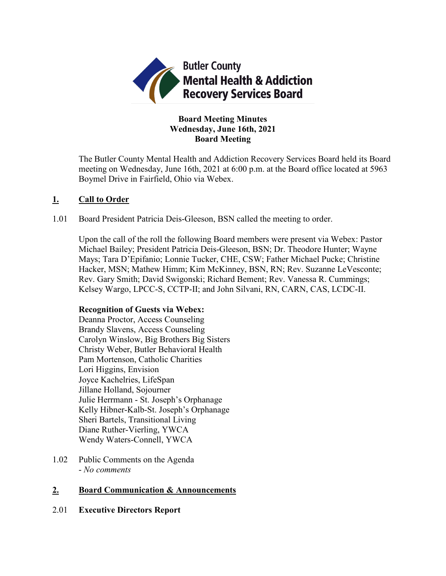

# **Board Meeting Minutes Wednesday, June 16th, 2021 Board Meeting**

The Butler County Mental Health and Addiction Recovery Services Board held its Board meeting on Wednesday, June 16th, 2021 at 6:00 p.m. at the Board office located at 5963 Boymel Drive in Fairfield, Ohio via Webex.

# **1. Call to Order**

1.01 Board President Patricia Deis-Gleeson, BSN called the meeting to order.

Upon the call of the roll the following Board members were present via Webex: Pastor Michael Bailey; President Patricia Deis-Gleeson, BSN; Dr. Theodore Hunter; Wayne Mays; Tara D'Epifanio; Lonnie Tucker, CHE, CSW; Father Michael Pucke; Christine Hacker, MSN; Mathew Himm; Kim McKinney, BSN, RN; Rev. Suzanne LeVesconte; Rev. Gary Smith; David Swigonski; Richard Bement; Rev. Vanessa R. Cummings; Kelsey Wargo, LPCC-S, CCTP-II; and John Silvani, RN, CARN, CAS, LCDC-II.

# **Recognition of Guests via Webex:**

Deanna Proctor, Access Counseling Brandy Slavens, Access Counseling Carolyn Winslow, Big Brothers Big Sisters Christy Weber, Butler Behavioral Health Pam Mortenson, Catholic Charities Lori Higgins, Envision Joyce Kachelries, LifeSpan Jillane Holland, Sojourner Julie Herrmann - St. Joseph's Orphanage Kelly Hibner-Kalb-St. Joseph's Orphanage Sheri Bartels, Transitional Living Diane Ruther-Vierling, YWCA Wendy Waters-Connell, YWCA

1.02 Public Comments on the Agenda - *No comments*

# **2. Board Communication & Announcements**

2.01 **Executive Directors Report**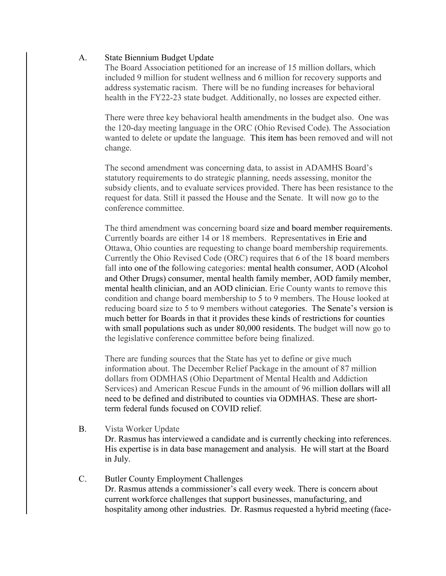### A. State Biennium Budget Update

The Board Association petitioned for an increase of 15 million dollars, which included 9 million for student wellness and 6 million for recovery supports and address systematic racism. There will be no funding increases for behavioral health in the FY22-23 state budget. Additionally, no losses are expected either.

There were three key behavioral health amendments in the budget also. One was the 120-day meeting language in the ORC (Ohio Revised Code). The Association wanted to delete or update the language. This item has been removed and will not change.

The second amendment was concerning data, to assist in ADAMHS Board's statutory requirements to do strategic planning, needs assessing, monitor the subsidy clients, and to evaluate services provided. There has been resistance to the request for data. Still it passed the House and the Senate. It will now go to the conference committee.

The third amendment was concerning board size and board member requirements. Currently boards are either 14 or 18 members. Representatives in Erie and Ottawa, Ohio counties are requesting to change board membership requirements. Currently the Ohio Revised Code (ORC) requires that 6 of the 18 board members fall into one of the following categories: mental health consumer, AOD (Alcohol and Other Drugs) consumer, mental health family member, AOD family member, mental health clinician, and an AOD clinician. Erie County wants to remove this condition and change board membership to 5 to 9 members. The House looked at reducing board size to 5 to 9 members without categories. The Senate's version is much better for Boards in that it provides these kinds of restrictions for counties with small populations such as under 80,000 residents. The budget will now go to the legislative conference committee before being finalized.

There are funding sources that the State has yet to define or give much information about. The December Relief Package in the amount of 87 million dollars from ODMHAS (Ohio Department of Mental Health and Addiction Services) and American Rescue Funds in the amount of 96 million dollars will all need to be defined and distributed to counties via ODMHAS. These are shortterm federal funds focused on COVID relief.

B. Vista Worker Update Dr. Rasmus has interviewed a candidate and is currently checking into references. His expertise is in data base management and analysis. He will start at the Board in July.

## C. Butler County Employment Challenges Dr. Rasmus attends a commissioner's call every week. There is concern about current workforce challenges that support businesses, manufacturing, and hospitality among other industries. Dr. Rasmus requested a hybrid meeting (face-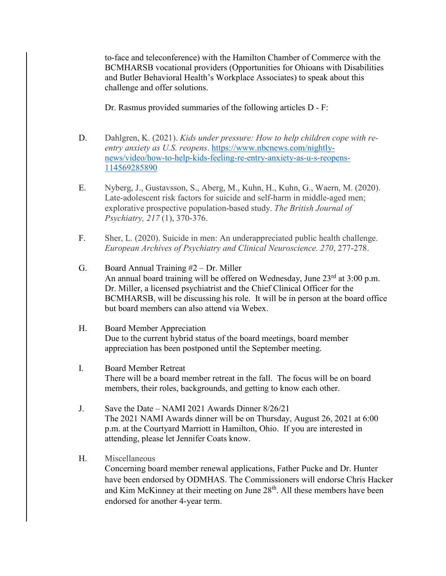to-face and teleconference) with the Hamilton Chamber of Commerce with the BCMHARSB vocational providers (Opportunities for Ohioans with Disabilities and Butler Behavioral Health's Workplace Associates) to speak about this challenge and offer solutions.

Dr. Rasmus provided summaries of the following articles D - F:

- D. Dahlgren, K. (2021). *Kids under pressure: How to help children cope with reentry anxiety as U.S. reopens*. [https://www.nbcnews.com/nightly](https://www.nbcnews.com/nightly-news/video/how-to-help-kids-feeling-re-entry-anxiety-as-u-s-reopens-114569285890)[news/video/how-to-help-kids-feeling-re-entry-anxiety-as-u-s-reopens-](https://www.nbcnews.com/nightly-news/video/how-to-help-kids-feeling-re-entry-anxiety-as-u-s-reopens-114569285890)[114569285890](https://www.nbcnews.com/nightly-news/video/how-to-help-kids-feeling-re-entry-anxiety-as-u-s-reopens-114569285890)
- E. Nyberg, J., Gustavsson, S., Aberg, M., Kuhn, H., Kuhn, G., Waern, M. (2020). Late-adolescent risk factors for suicide and self-harm in middle-aged men; explorative prospective population-based study. *The British Journal of Psychiatry, 217* (1), 370-376.
- F. Sher, L. (2020). Suicide in men: An underappreciated public health challenge. *European Archives of Psychiatry and Clinical Neuroscience. 270*, 277-278.
- G. Board Annual Training #2 Dr. Miller An annual board training will be offered on Wednesday, June  $23^{\text{rd}}$  at  $3:00$  p.m. Dr. Miller, a licensed psychiatrist and the Chief Clinical Officer for the BCMHARSB, will be discussing his role. It will be in person at the board office but board members can also attend via Webex.
- H. Board Member Appreciation Due to the current hybrid status of the board meetings, board member appreciation has been postponed until the September meeting.
- I. Board Member Retreat There will be a board member retreat in the fall. The focus will be on board members, their roles, backgrounds, and getting to know each other.
- J. Save the Date NAMI 2021 Awards Dinner 8/26/21 The 2021 NAMI Awards dinner will be on Thursday, August 26, 2021 at 6:00 p.m. at the Courtyard Marriott in Hamilton, Ohio. If you are interested in attending, please let Jennifer Coats know.
- H. Miscellaneous

Concerning board member renewal applications, Father Pucke and Dr. Hunter have been endorsed by ODMHAS. The Commissioners will endorse Chris Hacker and Kim McKinney at their meeting on June 28<sup>th</sup>. All these members have been endorsed for another 4-year term.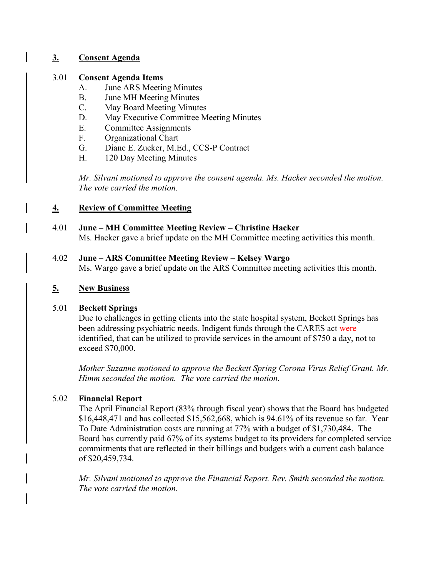# **3. Consent Agenda**

## 3.01 **Consent Agenda Items**

- A. June ARS Meeting Minutes
- B. June MH Meeting Minutes
- C. May Board Meeting Minutes
- D. May Executive Committee Meeting Minutes
- E. Committee Assignments
- F. Organizational Chart
- G. Diane E. Zucker, M.Ed., CCS-P Contract
- H. 120 Day Meeting Minutes

*Mr. Silvani motioned to approve the consent agenda. Ms. Hacker seconded the motion. The vote carried the motion.*

# **4. Review of Committee Meeting**

4.01 **June – MH Committee Meeting Review – Christine Hacker** Ms. Hacker gave a brief update on the MH Committee meeting activities this month.

## 4.02 **June – ARS Committee Meeting Review – Kelsey Wargo**

Ms. Wargo gave a brief update on the ARS Committee meeting activities this month.

# **5. New Business**

# 5.01 **Beckett Springs**

Due to challenges in getting clients into the state hospital system, Beckett Springs has been addressing psychiatric needs. Indigent funds through the CARES act were identified, that can be utilized to provide services in the amount of \$750 a day, not to exceed \$70,000.

*Mother Suzanne motioned to approve the Beckett Spring Corona Virus Relief Grant. Mr. Himm seconded the motion. The vote carried the motion.*

# 5.02 **Financial Report**

The April Financial Report (83% through fiscal year) shows that the Board has budgeted \$16,448,471 and has collected \$15,562,668, which is 94.61% of its revenue so far. Year To Date Administration costs are running at 77% with a budget of \$1,730,484. The Board has currently paid 67% of its systems budget to its providers for completed service commitments that are reflected in their billings and budgets with a current cash balance of \$20,459,734.

*Mr. Silvani motioned to approve the Financial Report. Rev. Smith seconded the motion. The vote carried the motion.*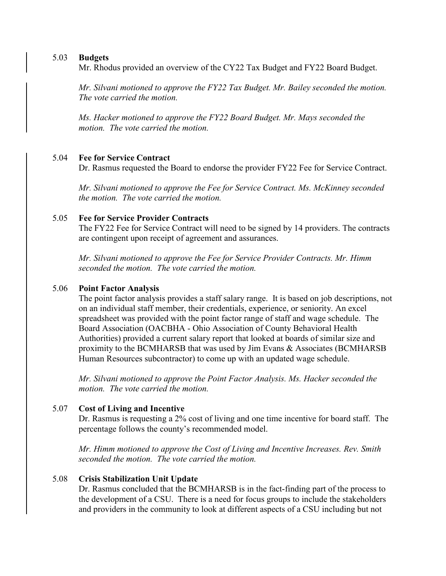#### 5.03 **Budgets**

Mr. Rhodus provided an overview of the CY22 Tax Budget and FY22 Board Budget.

*Mr. Silvani motioned to approve the FY22 Tax Budget. Mr. Bailey seconded the motion. The vote carried the motion.*

*Ms. Hacker motioned to approve the FY22 Board Budget. Mr. Mays seconded the motion. The vote carried the motion.*

#### 5.04 **Fee for Service Contract**

Dr. Rasmus requested the Board to endorse the provider FY22 Fee for Service Contract.

*Mr. Silvani motioned to approve the Fee for Service Contract. Ms. McKinney seconded the motion. The vote carried the motion.*

#### 5.05 **Fee for Service Provider Contracts**

The FY22 Fee for Service Contract will need to be signed by 14 providers. The contracts are contingent upon receipt of agreement and assurances.

*Mr. Silvani motioned to approve the Fee for Service Provider Contracts. Mr. Himm seconded the motion. The vote carried the motion.*

#### 5.06 **Point Factor Analysis**

The point factor analysis provides a staff salary range. It is based on job descriptions, not on an individual staff member, their credentials, experience, or seniority. An excel spreadsheet was provided with the point factor range of staff and wage schedule. The Board Association (OACBHA - Ohio Association of County Behavioral Health Authorities) provided a current salary report that looked at boards of similar size and proximity to the BCMHARSB that was used by Jim Evans & Associates (BCMHARSB Human Resources subcontractor) to come up with an updated wage schedule.

*Mr. Silvani motioned to approve the Point Factor Analysis. Ms. Hacker seconded the motion. The vote carried the motion.*

### 5.07 **Cost of Living and Incentive**

Dr. Rasmus is requesting a 2% cost of living and one time incentive for board staff. The percentage follows the county's recommended model.

*Mr. Himm motioned to approve the Cost of Living and Incentive Increases. Rev. Smith seconded the motion. The vote carried the motion.*

### 5.08 **Crisis Stabilization Unit Update**

Dr. Rasmus concluded that the BCMHARSB is in the fact-finding part of the process to the development of a CSU. There is a need for focus groups to include the stakeholders and providers in the community to look at different aspects of a CSU including but not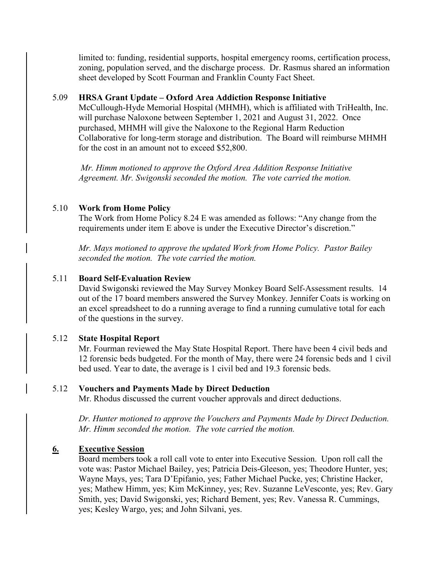limited to: funding, residential supports, hospital emergency rooms, certification process, zoning, population served, and the discharge process. Dr. Rasmus shared an information sheet developed by Scott Fourman and Franklin County Fact Sheet.

### 5.09 **HRSA Grant Update – Oxford Area Addiction Response Initiative**

McCullough-Hyde Memorial Hospital (MHMH), which is affiliated with TriHealth, Inc. will purchase Naloxone between September 1, 2021 and August 31, 2022. Once purchased, MHMH will give the Naloxone to the Regional Harm Reduction Collaborative for long-term storage and distribution. The Board will reimburse MHMH for the cost in an amount not to exceed \$52,800.

*Mr. Himm motioned to approve the Oxford Area Addition Response Initiative Agreement. Mr. Swigonski seconded the motion. The vote carried the motion.*

## 5.10 **Work from Home Policy**

The Work from Home Policy 8.24 E was amended as follows: "Any change from the requirements under item E above is under the Executive Director's discretion."

*Mr. Mays motioned to approve the updated Work from Home Policy. Pastor Bailey seconded the motion. The vote carried the motion.*

## 5.11 **Board Self-Evaluation Review**

David Swigonski reviewed the May Survey Monkey Board Self-Assessment results. 14 out of the 17 board members answered the Survey Monkey. Jennifer Coats is working on an excel spreadsheet to do a running average to find a running cumulative total for each of the questions in the survey.

### 5.12 **State Hospital Report**

Mr. Fourman reviewed the May State Hospital Report. There have been 4 civil beds and 12 forensic beds budgeted. For the month of May, there were 24 forensic beds and 1 civil bed used. Year to date, the average is 1 civil bed and 19.3 forensic beds.

### 5.12 **Vouchers and Payments Made by Direct Deduction**

Mr. Rhodus discussed the current voucher approvals and direct deductions.

*Dr. Hunter motioned to approve the Vouchers and Payments Made by Direct Deduction. Mr. Himm seconded the motion. The vote carried the motion.* 

# **6. Executive Session**

Board members took a roll call vote to enter into Executive Session. Upon roll call the vote was: Pastor Michael Bailey, yes; Patricia Deis-Gleeson, yes; Theodore Hunter, yes; Wayne Mays, yes; Tara D'Epifanio, yes; Father Michael Pucke, yes; Christine Hacker, yes; Mathew Himm, yes; Kim McKinney, yes; Rev. Suzanne LeVesconte, yes; Rev. Gary Smith, yes; David Swigonski, yes; Richard Bement, yes; Rev. Vanessa R. Cummings, yes; Kesley Wargo, yes; and John Silvani, yes.